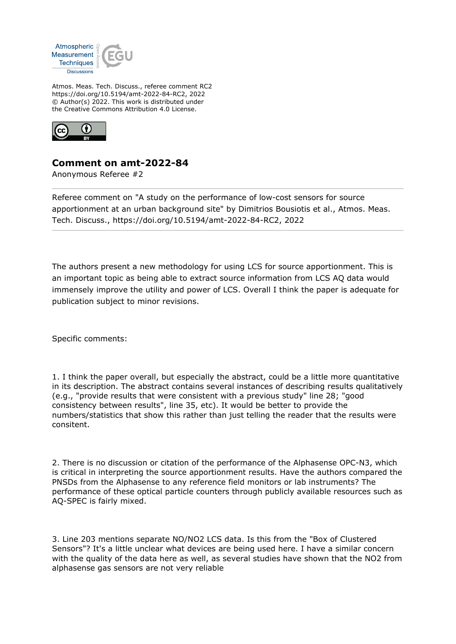

Atmos. Meas. Tech. Discuss., referee comment RC2 https://doi.org/10.5194/amt-2022-84-RC2, 2022 © Author(s) 2022. This work is distributed under the Creative Commons Attribution 4.0 License.



## **Comment on amt-2022-84**

Anonymous Referee #2

Referee comment on "A study on the performance of low-cost sensors for source apportionment at an urban background site" by Dimitrios Bousiotis et al., Atmos. Meas. Tech. Discuss., https://doi.org/10.5194/amt-2022-84-RC2, 2022

The authors present a new methodology for using LCS for source apportionment. This is an important topic as being able to extract source information from LCS AQ data would immensely improve the utility and power of LCS. Overall I think the paper is adequate for publication subject to minor revisions.

Specific comments:

1. I think the paper overall, but especially the abstract, could be a little more quantitative in its description. The abstract contains several instances of describing results qualitatively (e.g., "provide results that were consistent with a previous study" line 28; "good consistency between results", line 35, etc). It would be better to provide the numbers/statistics that show this rather than just telling the reader that the results were consitent.

2. There is no discussion or citation of the performance of the Alphasense OPC-N3, which is critical in interpreting the source apportionment results. Have the authors compared the PNSDs from the Alphasense to any reference field monitors or lab instruments? The performance of these optical particle counters through publicly available resources such as AQ-SPEC is fairly mixed.

3. Line 203 mentions separate NO/NO2 LCS data. Is this from the "Box of Clustered Sensors"? It's a little unclear what devices are being used here. I have a similar concern with the quality of the data here as well, as several studies have shown that the NO2 from alphasense gas sensors are not very reliable